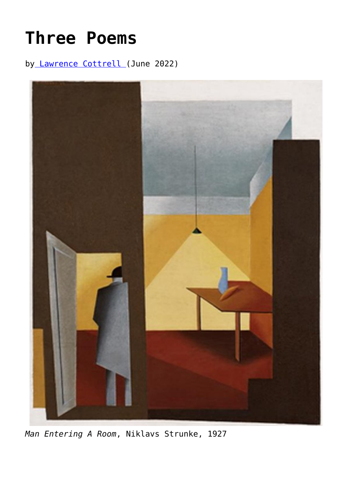## **[Three Poems](https://www.newenglishreview.org/articles/three-poems-23/)**

by [Lawrence Cottrell](https://www.newenglishreview.org/authors/lawrence-cottrell/) (June 2022)



*Man Entering A Room*, Niklavs Strunke, 1927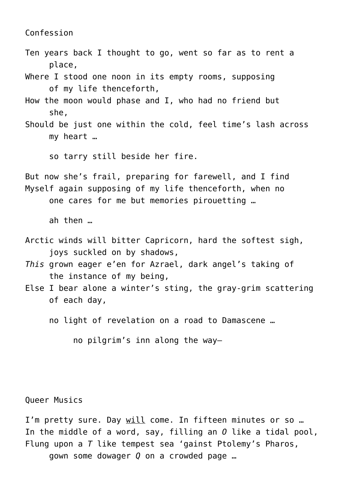Confession

Ten years back I thought to go, went so far as to rent a place.

Where I stood one noon in its empty rooms, supposing of my life thenceforth,

- How the moon would phase and I, who had no friend but \_\_\_\_\_she,
- Should be just one within the cold, feel time's lash across \_\_\_\_\_my heart …

so tarry still beside her fire.

But now she's frail, preparing for farewell, and I find Myself again supposing of my life thenceforth, when no one cares for me but memories pirouetting ...

\_\_\_\_\_ah then …

- Arctic winds will bitter Capricorn, hard the softest sigh, joys suckled on by shadows,
- *This* grown eager e'en for Azrael, dark angel's taking of the instance of my being,
- Else I bear alone a winter's sting, the gray-grim scattering of each day,
	- no light of revelation on a road to Damascene ...

no pilgrim's inn along the way-

Queer Musics

I'm pretty sure. Day will come. In fifteen minutes or so ... In the middle of a word, say, filling an *O* like a tidal pool, Flung upon a *T* like tempest sea 'gainst Ptolemy's Pharos, \_\_\_\_\_gown some dowager *Q* on a crowded page …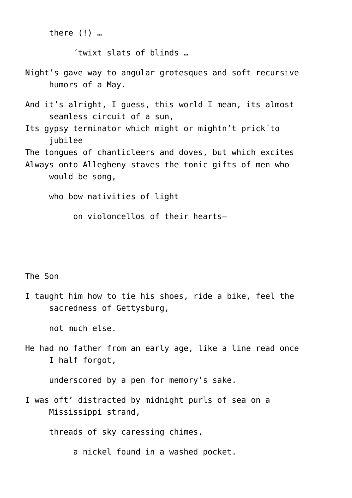there  $(!)$  …

 $'$ twixt slats of blinds  $...$ 

- Night's gave way to angular grotesques and soft recursive humors of a May.
- And it's alright, I guess, this world I mean, its almost seamless circuit of a sun,
- Its gypsy terminator which might or mightn't prick´to \_\_\_\_\_jubilee

The tongues of chanticleers and doves, but which excites Always onto Allegheny staves the tonic gifts of men who would be song,

who bow nativities of light

\_\_\_\_\_\_\_\_\_\_on violoncellos of their hearts—

## The Son

I taught him how to tie his shoes, ride a bike, feel the sacredness of Gettysburg,

\_\_\_\_\_not much else.

He had no father from an early age, like a line read once \_\_\_\_\_I half forgot,

underscored by a pen for memory's sake.

I was oft' distracted by midnight purls of sea on a Mississippi strand,

threads of sky caressing chimes,

a nickel found in a washed pocket.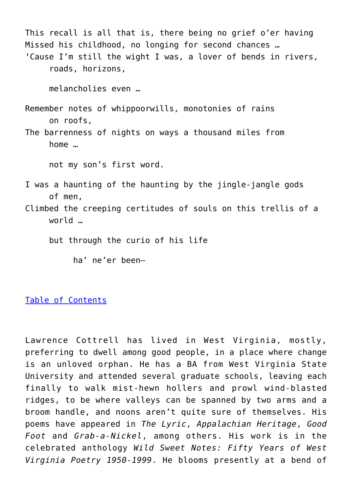This recall is all that is, there being no grief o'er having Missed his childhood, no longing for second chances … 'Cause I'm still the wight I was, a lover of bends in rivers, \_\_\_\_\_roads, horizons, melancholies even … Remember notes of whippoorwills, monotonies of rains \_\_\_\_\_on roofs, The barrenness of nights on ways a thousand miles from  $home$   $\ldots$ not my son's first word. I was a haunting of the haunting by the jingle-jangle gods \_\_\_\_\_of men, Climbed the creeping certitudes of souls on this trellis of a world … but through the curio of his life ha' ne'er been-

[Table of Contents](https://www.newenglishreview.org/)

Lawrence Cottrell has lived in West Virginia, mostly, preferring to dwell among good people, in a place where change is an unloved orphan. He has a BA from West Virginia State University and attended several graduate schools, leaving each finally to walk mist-hewn hollers and prowl wind-blasted ridges, to be where valleys can be spanned by two arms and a broom handle, and noons aren't quite sure of themselves. His poems have appeared in *The Lyric*, *Appalachian Heritage*, *Good Foot* and *Grab-a-Nickel*, among others. His work is in the celebrated anthology *Wild Sweet Notes: Fifty Years of West Virginia Poetry 1950-1999*. He blooms presently at a bend of